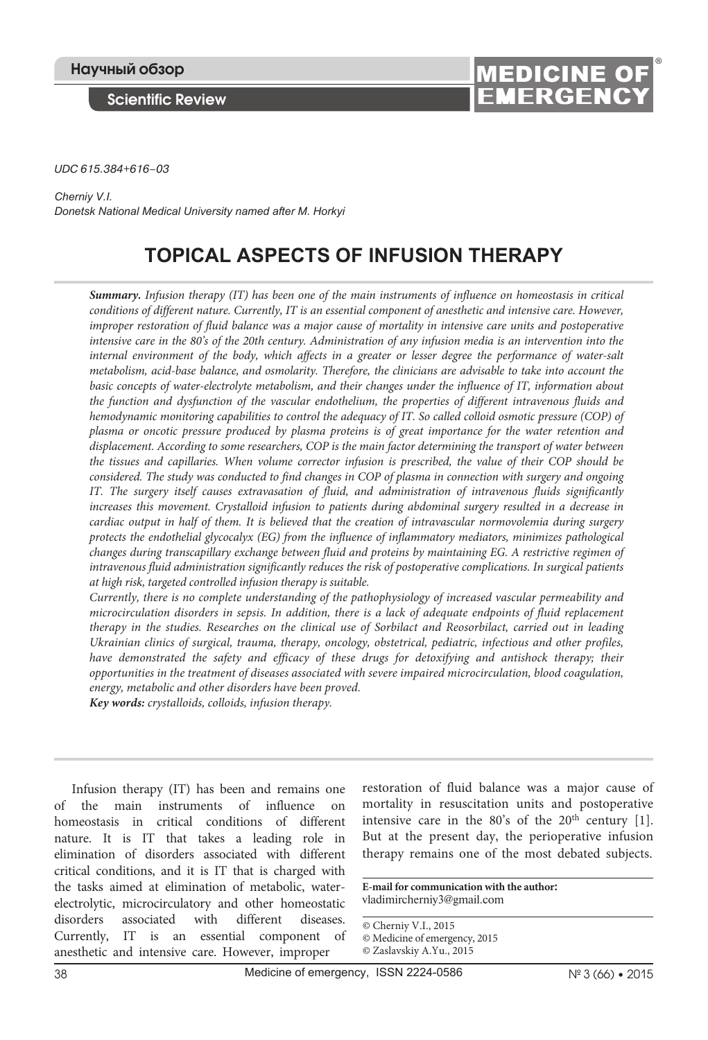**Scientific Review**



*UDC 615.384+616–03*

*Cherniy V.I. Donetsk National Medical University named after M. Horkyi*

# **TOPICAL ASPECTS OF INFUSION THERAPY**

*Summary. Infusion therapy (IT) has been one of the main instruments of influence on homeostasis in critical*  conditions of different nature. Currently, IT is an essential component of anesthetic and intensive care. However, *improper restoration of fluid balance was a major cause of mortality in intensive care units and postoperative intensive care in the 80's of the 20th century. Administration of any infusion media is an intervention into the internal environment of the body, which affects in a greater or lesser degree the performance of water-salt metabolism, acid-base balance, and osmolarity. Therefore, the clinicians are advisable to take into account the basic concepts of water-electrolyte metabolism, and their changes under the influence of IT, information about the function and dysfunction of the vascular endothelium, the properties of different intravenous fluids and hemodynamic monitoring capabilities to control the adequacy of IT. So called colloid osmotic pressure (COP) of plasma or oncotic pressure produced by plasma proteins is of great importance for the water retention and displacement. According to some researchers, COP is the main factor determining the transport of water between the tissues and capillaries. When volume corrector infusion is prescribed, the value of their COP should be considered. The study was conducted to find changes in COP of plasma in connection with surgery and ongoing IT. The surgery itself causes extravasation of fluid, and administration of intravenous fluids significantly increases this movement. Crystalloid infusion to patients during abdominal surgery resulted in a decrease in cardiac output in half of them. It is believed that the creation of intravascular normovolemia during surgery protects the endothelial glycocalyx (EG) from the influence of inflammatory mediators, minimizes pathological changes during transcapillary exchange between fluid and proteins by maintaining EG. A restrictive regimen of intravenous fluid administration significantly reduces the risk of postoperative complications. In surgical patients at high risk, targeted controlled infusion therapy is suitable.*

*Currently, there is no complete understanding of the pathophysiology of increased vascular permeability and microcirculation disorders in sepsis. In addition, there is a lack of adequate endpoints of fluid replacement therapy in the studies. Researches on the clinical use of Sorbilact and Reosorbilact, carried out in leading Ukrainian clinics of surgical, trauma, therapy, oncology, obstetrical, pediatric, infectious and other profiles,*  have demonstrated the safety and efficacy of these drugs for detoxifying and antishock therapy; their *opportunities in the treatment of diseases associated with severe impaired microcirculation, blood coagulation, energy, metabolic and other disorders have been proved.*

*Key words: crystalloids, colloids, infusion therapy.* 

Infusion therapy (IT) has been and remains one of the main instruments of influence on homeostasis in critical conditions of different nature. It is IT that takes a leading role in elimination of disorders associated with different critical conditions, and it is IT that is charged with the tasks aimed at elimination of metabolic, waterelectrolytic, microcirculatory and other homeostatic disorders associated with different diseases. Currently, IT is an essential component of anesthetic and intensive care. However, improper

restoration of fluid balance was a major cause of mortality in resuscitation units and postoperative intensive care in the  $80\text{'s}$  of the  $20\text{th}$  century [1]. But at the present day, the perioperative infusion therapy remains one of the most debated subjects.

**E-mail for communication with the author:** vladimircherniy3@gmail.com

© Cherniy V.I., 2015

© Medicine of emergency, 2015

© Zaslavskiy A.Yu., 2015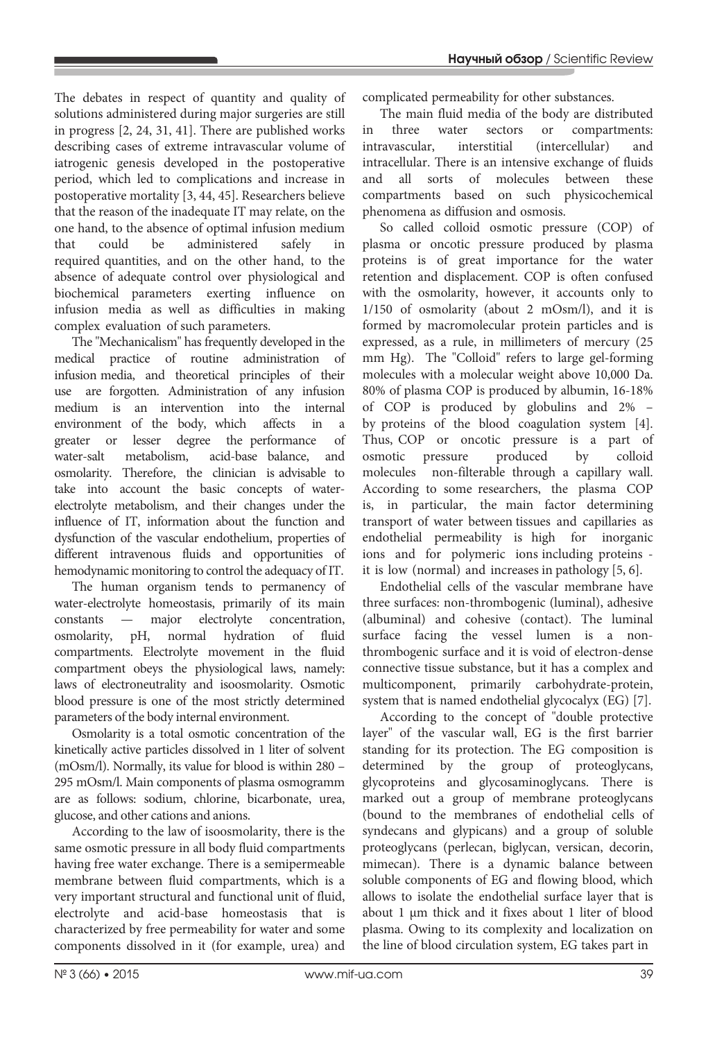The debates in respect of quantity and quality of solutions administered during major surgeries are still in progress [2, 24, 31, 41]. There are published works describing cases of extreme intravascular volume of iatrogenic genesis developed in the postoperative period, which led to complications and increase in postoperative mortality [3, 44, 45]. Researchers believe that the reason of the inadequate IT may relate, on the one hand, to the absence of optimal infusion medium that could be administered safely in required quantities, and on the other hand, to the absence of adequate control over physiological and biochemical parameters exerting influence on infusion media as well as difficulties in making complex evaluation of such parameters.

The "Mechanicalism" has frequently developed in the medical practice of routine administration of infusion media, and theoretical principles of their use are forgotten. Administration of any infusion medium is an intervention into the internal environment of the body, which affects in a greater or lesser degree the performance of water-salt metabolism, acid-base balance, and osmolarity. Therefore, the clinician is advisable to take into account the basic concepts of waterelectrolyte metabolism, and their changes under the influence of IT, information about the function and dysfunction of the vascular endothelium, properties of different intravenous fluids and opportunities of hemodynamic monitoring to control the adequacy of IT.

The human organism tends to permanency of water-electrolyte homeostasis, primarily of its main constants — major electrolyte concentration, osmolarity, pH, normal hydration of fluid compartments. Electrolyte movement in the fluid compartment obeys the physiological laws, namely: laws of electroneutrality and isoosmolarity. Osmotic blood pressure is one of the most strictly determined parameters of the body internal environment.

Osmolarity is a total osmotic concentration of the kinetically active particles dissolved in 1 liter of solvent (mOsm/l). Normally, its value for blood is within 280 – 295 mOsm/l. Main components of plasma osmogramm are as follows: sodium, chlorine, bicarbonate, urea, glucose, and other cations and anions.

According to the law of isoosmolarity, there is the same osmotic pressure in all body fluid compartments having free water exchange. There is a semipermeable membrane between fluid compartments, which is a very important structural and functional unit of fluid, electrolyte and acid-base homeostasis that is characterized by free permeability for water and some components dissolved in it (for example, urea) and

complicated permeability for other substances.

The main fluid media of the body are distributed in three water sectors or compartments: intravascular, interstitial (intercellular) and intracellular. There is an intensive exchange of fluids and all sorts of molecules between these compartments based on such physicochemical phenomena as diffusion and osmosis.

So called colloid osmotic pressure (COP) of plasma or oncotic pressure produced by plasma proteins is of great importance for the water retention and displacement. COP is often confused with the osmolarity, however, it accounts only to 1/150 of osmolarity (about 2 mOsm/l), and it is formed by macromolecular protein particles and is expressed, as a rule, in millimeters of mercury (25 mm Hg). The "Colloid" refers to large gel-forming molecules with a molecular weight above 10,000 Da. 80% of plasma COP is produced by albumin, 16-18% of COP is produced by globulins and 2% – by proteins of the blood coagulation system [4]. Thus, COP or oncotic pressure is a part of osmotic pressure produced by colloid molecules non-filterable through a capillary wall. According to some researchers, the plasma COP is, in particular, the main factor determining transport of water between tissues and capillaries as endothelial permeability is high for inorganic ions and for polymeric ions including proteins it is low (normal) and increases in pathology [5, 6].

Endothelial cells of the vascular membrane have three surfaces: non-thrombogenic (luminal), adhesive (albuminal) and cohesive (contact). The luminal surface facing the vessel lumen is a nonthrombogenic surface and it is void of electron-dense connective tissue substance, but it has a complex and multicomponent, primarily carbohydrate-protein, system that is named endothelial glycocalyx (EG) [7].

According to the concept of "double protective layer" of the vascular wall, EG is the first barrier standing for its protection. The EG composition is determined by the group of proteoglycans, glycoproteins and glycosaminoglycans. There is marked out a group of membrane proteoglycans (bound to the membranes of endothelial cells of syndecans and glypicans) and a group of soluble proteoglycans (perlecan, biglycan, versican, decorin, mimecan). There is a dynamic balance between soluble components of EG and flowing blood, which allows to isolate the endothelial surface layer that is about 1 µm thick and it fixes about 1 liter of blood plasma. Owing to its complexity and localization on the line of blood circulation system, EG takes part in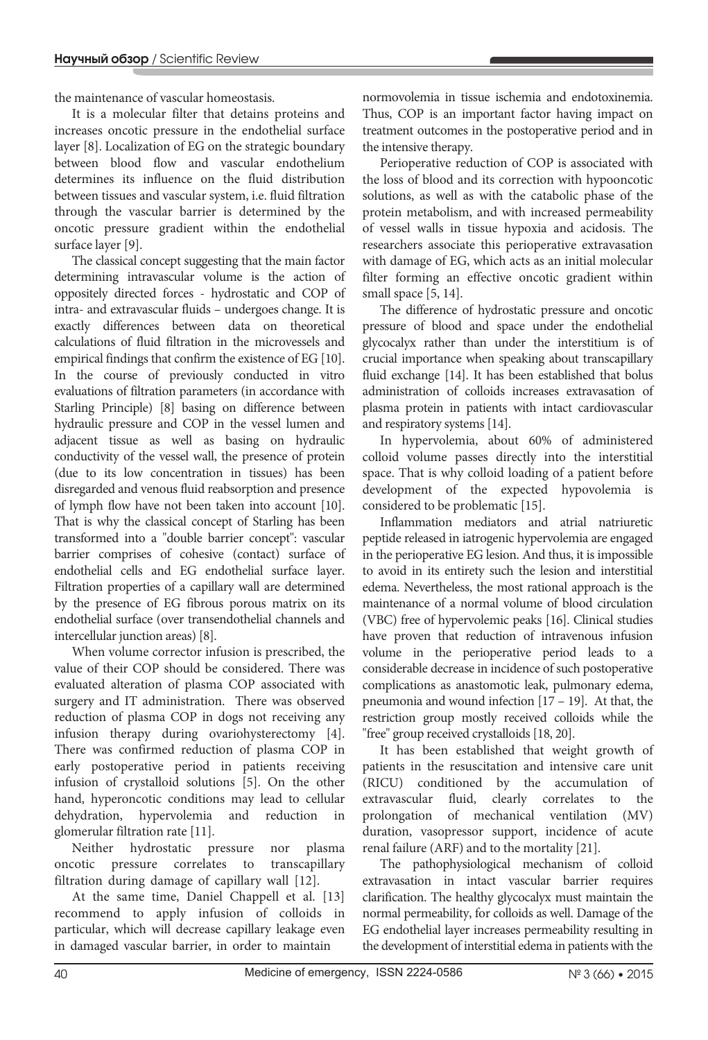the maintenance of vascular homeostasis.

It is a molecular filter that detains proteins and increases oncotic pressure in the endothelial surface layer [8]. Localization of EG on the strategic boundary between blood flow and vascular endothelium determines its influence on the fluid distribution between tissues and vascular system, i.e. fluid filtration through the vascular barrier is determined by the oncotic pressure gradient within the endothelial surface layer [9].

The classical concept suggesting that the main factor determining intravascular volume is the action of oppositely directed forces - hydrostatic and COP of intra- and extravascular fluids – undergoes change. It is exactly differences between data on theoretical calculations of fluid filtration in the microvessels and empirical findings that confirm the existence of EG [10]. In the course of previously conducted in vitro evaluations of filtration parameters (in accordance with Starling Principle) [8] basing on difference between hydraulic pressure and COP in the vessel lumen and adjacent tissue as well as basing on hydraulic conductivity of the vessel wall, the presence of protein (due to its low concentration in tissues) has been disregarded and venous fluid reabsorption and presence of lymph flow have not been taken into account [10]. That is why the classical concept of Starling has been transformed into a "double barrier concept": vascular barrier comprises of cohesive (contact) surface of endothelial cells and EG endothelial surface layer. Filtration properties of a capillary wall are determined by the presence of EG fibrous porous matrix on its endothelial surface (over transendothelial channels and intercellular junction areas) [8].

When volume corrector infusion is prescribed, the value of their COP should be considered. There was evaluated alteration of plasma COP associated with surgery and IT administration. There was observed reduction of plasma COP in dogs not receiving any infusion therapy during ovariohysterectomy [4]. There was confirmed reduction of plasma COP in early postoperative period in patients receiving infusion of crystalloid solutions [5]. On the other hand, hyperoncotic conditions may lead to cellular dehydration, hypervolemia and reduction in glomerular filtration rate [11].

Neither hydrostatic pressure nor plasma oncotic pressure correlates to transcapillary filtration during damage of capillary wall [12].

At the same time, Daniel Chappell et al. [13] recommend to apply infusion of colloids in particular, which will decrease capillary leakage even in damaged vascular barrier, in order to maintain

normovolemia in tissue ischemia and endotoxinemia. Thus, COP is an important factor having impact on treatment outcomes in the postoperative period and in the intensive therapy.

Perioperative reduction of COP is associated with the loss of blood and its correction with hypooncotic solutions, as well as with the catabolic phase of the protein metabolism, and with increased permeability of vessel walls in tissue hypoxia and acidosis. The researchers associate this perioperative extravasation with damage of EG, which acts as an initial molecular filter forming an effective oncotic gradient within small space [5, 14].

The difference of hydrostatic pressure and oncotic pressure of blood and space under the endothelial glycocalyx rather than under the interstitium is of crucial importance when speaking about transcapillary fluid exchange [14]. It has been established that bolus administration of colloids increases extravasation of plasma protein in patients with intact cardiovascular and respiratory systems [14].

In hypervolemia, about 60% of administered colloid volume passes directly into the interstitial space. That is why colloid loading of a patient before development of the expected hypovolemia is considered to be problematic [15].

Inflammation mediators and atrial natriuretic peptide released in iatrogenic hypervolemia are engaged in the perioperative EG lesion. And thus, it is impossible to avoid in its entirety such the lesion and interstitial edema. Nevertheless, the most rational approach is the maintenance of a normal volume of blood circulation (VBC) free of hypervolemic peaks [16]. Clinical studies have proven that reduction of intravenous infusion volume in the perioperative period leads to a considerable decrease in incidence of such postoperative complications as anastomotic leak, pulmonary edema, pneumonia and wound infection [17 – 19]. At that, the restriction group mostly received colloids while the "free" group received crystalloids [18, 20].

It has been established that weight growth of patients in the resuscitation and intensive care unit (RICU) conditioned by the accumulation of extravascular fluid, clearly correlates to the prolongation of mechanical ventilation (MV) duration, vasopressor support, incidence of acute renal failure (ARF) and to the mortality [21].

The pathophysiological mechanism of colloid extravasation in intact vascular barrier requires clarification. The healthy glycocalyx must maintain the normal permeability, for colloids as well. Damage of the EG endothelial layer increases permeability resulting in the development of interstitial edema in patients with the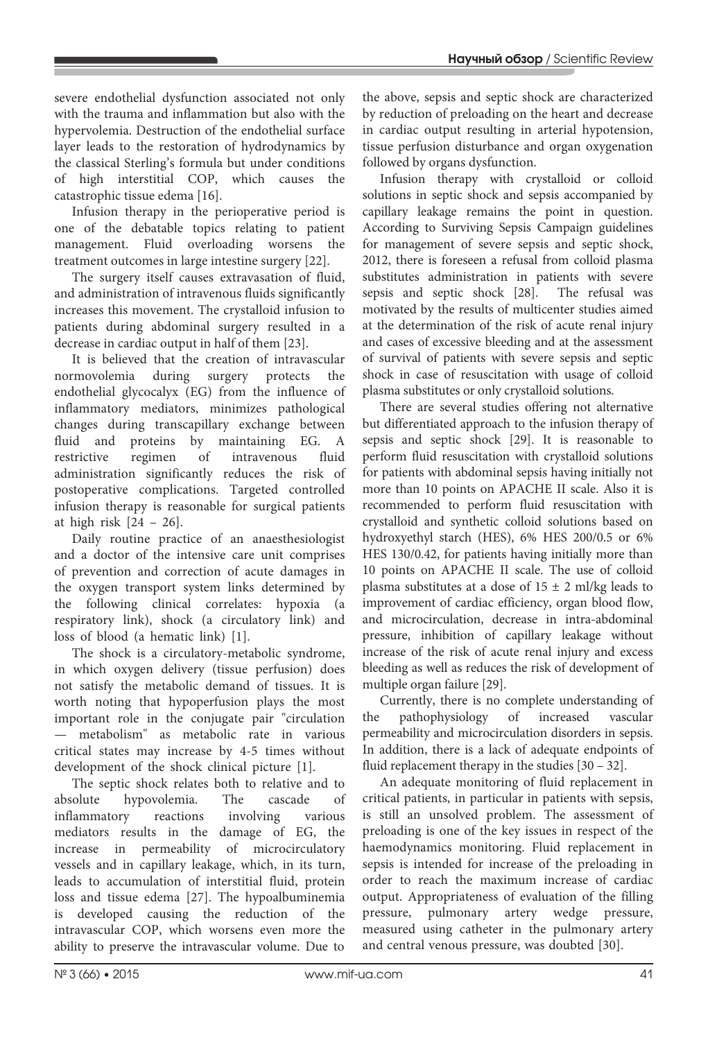severe endothelial dysfunction associated not only with the trauma and inflammation but also with the hypervolemia. Destruction of the endothelial surface layer leads to the restoration of hydrodynamics by the classical Sterling's formula but under conditions of high interstitial COP, which causes the catastrophic tissue edema [16].

Infusion therapy in the perioperative period is one of the debatable topics relating to patient management. Fluid overloading worsens the treatment outcomes in large intestine surgery [22].

The surgery itself causes extravasation of fluid, and administration of intravenous fluids significantly increases this movement. The crystalloid infusion to patients during abdominal surgery resulted in a decrease in cardiac output in half of them [23].

It is believed that the creation of intravascular normovolemia during surgery protects the endothelial glycocalyx (EG) from the influence of inflammatory mediators, minimizes pathological changes during transcapillary exchange between fluid and proteins by maintaining EG. A restrictive regimen of intravenous fluid administration significantly reduces the risk of postoperative complications. Targeted controlled infusion therapy is reasonable for surgical patients at high risk  $[24 - 26]$ .

Daily routine practice of an anaesthesiologist and a doctor of the intensive care unit comprises of prevention and correction of acute damages in the oxygen transport system links determined by the following clinical correlates: hypoxia (a respiratory link), shock (a circulatory link) and loss of blood (a hematic link) [1].

The shock is a circulatory-metabolic syndrome, in which oxygen delivery (tissue perfusion) does not satisfy the metabolic demand of tissues. It is worth noting that hypoperfusion plays the most important role in the conjugate pair "circulation — metabolism" as metabolic rate in various critical states may increase by 4-5 times without development of the shock clinical picture [1].

The septic shock relates both to relative and to absolute hypovolemia. The cascade of inflammatory reactions involving various mediators results in the damage of EG, the increase in permeability of microcirculatory vessels and in capillary leakage, which, in its turn, leads to accumulation of interstitial fluid, protein loss and tissue edema [27]. The hypoalbuminemia is developed causing the reduction of the intravascular COP, which worsens even more the ability to preserve the intravascular volume. Due to

the above, sepsis and septic shock are characterized by reduction of preloading on the heart and decrease in cardiac output resulting in arterial hypotension, tissue perfusion disturbance and organ oxygenation followed by organs dysfunction.

Infusion therapy with crystalloid or colloid solutions in septic shock and sepsis accompanied by capillary leakage remains the point in question. According to Surviving Sepsis Campaign guidelines for management of severe sepsis and septic shock, 2012, there is foreseen a refusal from colloid plasma substitutes administration in patients with severe sepsis and septic shock [28]. The refusal was motivated by the results of multicenter studies aimed at the determination of the risk of acute renal injury and cases of excessive bleeding and at the assessment of survival of patients with severe sepsis and septic shock in case of resuscitation with usage of colloid plasma substitutes or only crystalloid solutions.

There are several studies offering not alternative but differentiated approach to the infusion therapy of sepsis and septic shock [29]. It is reasonable to perform fluid resuscitation with crystalloid solutions for patients with abdominal sepsis having initially not more than 10 points on АРАСНЕ II scale. Also it is recommended to perform fluid resuscitation with crystalloid and synthetic colloid solutions based on hydroxyethyl starch (HES), 6% HES 200/0.5 or 6% HES 130/0.42, for patients having initially more than 10 points on АРАСНЕ II scale. The use of colloid plasma substitutes at a dose of  $15 \pm 2$  ml/kg leads to improvement of cardiac efficiency, organ blood flow, and microcirculation, decrease in intra-abdominal pressure, inhibition of capillary leakage without increase of the risk of acute renal injury and excess bleeding as well as reduces the risk of development of multiple organ failure [29].

Currently, there is no complete understanding of the pathophysiology of increased vascular permeability and microcirculation disorders in sepsis. In addition, there is a lack of adequate endpoints of fluid replacement therapy in the studies [30 – 32].

An adequate monitoring of fluid replacement in critical patients, in particular in patients with sepsis, is still an unsolved problem. The assessment of preloading is one of the key issues in respect of the haemodynamics monitoring. Fluid replacement in sepsis is intended for increase of the preloading in order to reach the maximum increase of cardiac output. Appropriateness of evaluation of the filling pressure, pulmonary artery wedge pressure, measured using catheter in the pulmonary artery and central venous pressure, was doubted [30].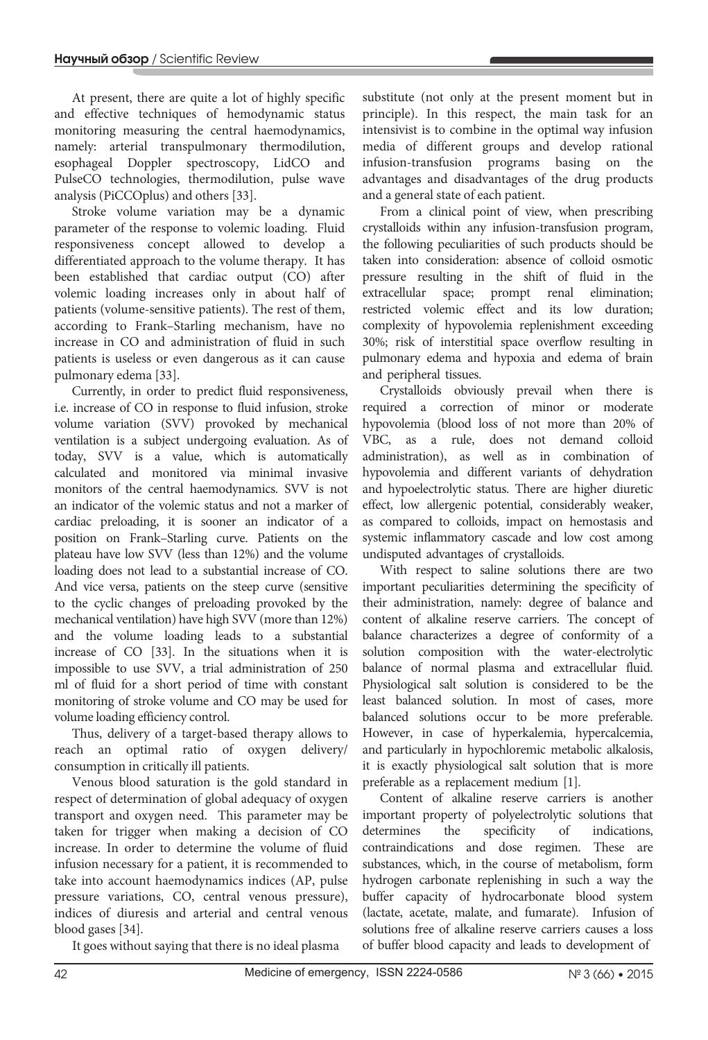At present, there are quite a lot of highly specific and effective techniques of hemodynamic status monitoring measuring the central haemodynamics, namely: arterial transpulmonary thermodilution, esophageal Doppler spectroscopy, LidCO and PulseCO technologies, thermodilution, pulse wave analysis (PiCCOplus) and others [33].

Stroke volume variation may be a dynamic parameter of the response to volemic loading. Fluid responsiveness concept allowed to develop a differentiated approach to the volume therapy. It has been established that cardiac output (CO) after volemic loading increases only in about half of patients (volume-sensitive patients). The rest of them, according to Frank–Starling mechanism, have no increase in CO and administration of fluid in such patients is useless or even dangerous as it can cause pulmonary edema [33].

Currently, in order to predict fluid responsiveness, i.e. increase of CO in response to fluid infusion, stroke volume variation (SVV) provoked by mechanical ventilation is a subject undergoing evaluation. As of today, SVV is a value, which is automatically calculated and monitored via minimal invasive monitors of the central haemodynamics. SVV is not an indicator of the volemic status and not a marker of cardiac preloading, it is sooner an indicator of a position on Frank–Starling curve. Patients on the plateau have low SVV (less than 12%) and the volume loading does not lead to a substantial increase of CO. And vice versa, patients on the steep curve (sensitive to the cyclic changes of preloading provoked by the mechanical ventilation) have high SVV (more than 12%) and the volume loading leads to a substantial increase of CO [33]. In the situations when it is impossible to use SVV, a trial administration of 250 ml of fluid for a short period of time with constant monitoring of stroke volume and CO may be used for volume loading efficiency control.

Thus, delivery of a target-based therapy allows to reach an optimal ratio of oxygen delivery/ consumption in critically ill patients.

Venous blood saturation is the gold standard in respect of determination of global adequacy of oxygen transport and oxygen need. This parameter may be taken for trigger when making a decision of CO increase. In order to determine the volume of fluid infusion necessary for a patient, it is recommended to take into account haemodynamics indices (AP, pulse pressure variations, CO, central venous pressure), indices of diuresis and arterial and central venous blood gases [34].

It goes without saying that there is no ideal plasma

substitute (not only at the present moment but in principle). In this respect, the main task for an intensivist is to combine in the optimal way infusion media of different groups and develop rational infusion-transfusion programs basing on the advantages and disadvantages of the drug products and a general state of each patient.

From a clinical point of view, when prescribing crystalloids within any infusion-transfusion program, the following peculiarities of such products should be taken into consideration: absence of colloid osmotic pressure resulting in the shift of fluid in the extracellular space; prompt renal elimination; restricted volemic effect and its low duration; complexity of hypovolemia replenishment exceeding 30%; risk of interstitial space overflow resulting in pulmonary edema and hypoxia and edema of brain and peripheral tissues.

Crystalloids obviously prevail when there is required a correction of minor or moderate hypovolemia (blood loss of not more than 20% of VBC, as a rule, does not demand colloid administration), as well as in combination of hypovolemia and different variants of dehydration and hypoelectrolytic status. There are higher diuretic effect, low allergenic potential, considerably weaker, as compared to colloids, impact on hemostasis and systemic inflammatory cascade and low cost among undisputed advantages of crystalloids.

With respect to saline solutions there are two important peculiarities determining the specificity of their administration, namely: degree of balance and content of alkaline reserve carriers. The concept of balance characterizes a degree of conformity of a solution composition with the water-electrolytic balance of normal plasma and extracellular fluid. Physiological salt solution is considered to be the least balanced solution. In most of cases, more balanced solutions occur to be more preferable. However, in case of hyperkalemia, hypercalcemia, and particularly in hypochloremic metabolic alkalosis, it is exactly physiological salt solution that is more preferable as a replacement medium [1].

Content of alkaline reserve carriers is another important property of polyelectrolytic solutions that determines the specificity of indications, contraindications and dose regimen. These are substances, which, in the course of metabolism, form hydrogen carbonate replenishing in such a way the buffer capacity of hydrocarbonate blood system (lactate, acetate, malate, and fumarate). Infusion of solutions free of alkaline reserve carriers causes a loss of buffer blood capacity and leads to development of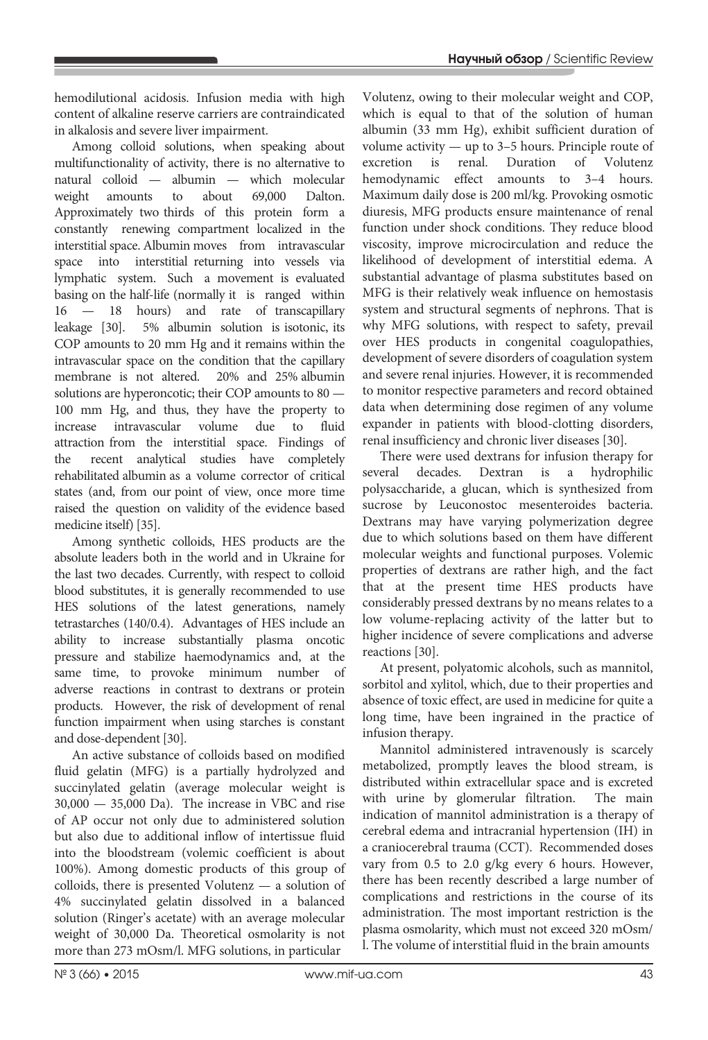hemodilutional acidosis. Infusion media with high content of alkaline reserve carriers are contraindicated in alkalosis and severe liver impairment.

Among colloid solutions, when speaking about multifunctionality of activity, there is no alternative to natural colloid — albumin — which molecular weight amounts to about 69,000 Dalton. Approximately two thirds of this protein form a constantly renewing compartment localized in the interstitial space. Albumin moves from intravascular space into interstitial returning into vessels via lymphatic system. Such a movement is evaluated basing on the half-life (normally it is ranged within 16 — 18 hours) and rate of transcapillary leakage [30]. 5% albumin solution is isotonic, its COP amounts to 20 mm Hg and it remains within the intravascular space on the condition that the capillary membrane is not altered. 20% and 25% albumin solutions are hyperoncotic; their COP amounts to 80 — 100 mm Hg, and thus, they have the property to increase intravascular volume due to fluid attraction from the interstitial space. Findings of the recent analytical studies have completely rehabilitated albumin as a volume corrector of critical states (and, from our point of view, once more time raised the question on validity of the evidence based medicine itself) [35].

Among synthetic colloids, HES products are the absolute leaders both in the world and in Ukraine for the last two decades. Currently, with respect to colloid blood substitutes, it is generally recommended to use HES solutions of the latest generations, namely tetrastarches (140/0.4). Advantages of HES include an ability to increase substantially plasma oncotic pressure and stabilize haemodynamics and, at the same time, to provoke minimum number of adverse reactions in contrast to dextrans or protein products. However, the risk of development of renal function impairment when using starches is constant and dose-dependent [30].

An active substance of colloids based on modified fluid gelatin (MFG) is a partially hydrolyzed and succinylated gelatin (average molecular weight is 30,000 — 35,000 Da). The increase in VBC and rise of AP occur not only due to administered solution but also due to additional inflow of intertissue fluid into the bloodstream (volemic coefficient is about 100%). Among domestic products of this group of colloids, there is presented Volutenz — a solution of 4% succinylated gelatin dissolved in a balanced solution (Ringer's acetate) with an average molecular weight of 30,000 Da. Theoretical osmolarity is not more than 273 mOsm/l. MFG solutions, in particular

Volutenz, owing to their molecular weight and COP, which is equal to that of the solution of human albumin (33 mm Hg), exhibit sufficient duration of volume activity — up to 3–5 hours. Principle route of excretion is renal. Duration of Volutenz hemodynamic effect amounts to 3–4 hours. Maximum daily dose is 200 ml/kg. Provoking osmotic diuresis, MFG products ensure maintenance of renal function under shock conditions. They reduce blood viscosity, improve microcirculation and reduce the likelihood of development of interstitial edema. A substantial advantage of plasma substitutes based on MFG is their relatively weak influence on hemostasis system and structural segments of nephrons. That is why MFG solutions, with respect to safety, prevail over HES products in congenital coagulopathies, development of severe disorders of coagulation system and severe renal injuries. However, it is recommended to monitor respective parameters and record obtained data when determining dose regimen of any volume expander in patients with blood-clotting disorders, renal insufficiency and chronic liver diseases [30].

There were used dextrans for infusion therapy for several decades. Dextran is a hydrophilic polysaccharide, a glucan, which is synthesized from sucrose by Leuconostoc mesenteroides bacteria. Dextrans may have varying polymerization degree due to which solutions based on them have different molecular weights and functional purposes. Volemic properties of dextrans are rather high, and the fact that at the present time HES products have considerably pressed dextrans by no means relates to a low volume-replacing activity of the latter but to higher incidence of severe complications and adverse reactions [30].

At present, polyatomic alcohols, such as mannitol, sorbitol and xylitol, which, due to their properties and absence of toxic effect, are used in medicine for quite a long time, have been ingrained in the practice of infusion therapy.

Mannitol administered intravenously is scarcely metabolized, promptly leaves the blood stream, is distributed within extracellular space and is excreted with urine by glomerular filtration. The main indication of mannitol administration is a therapy of cerebral edema and intracranial hypertension (IH) in a craniocerebral trauma (CCT). Recommended doses vary from 0.5 to 2.0 g/kg every 6 hours. However, there has been recently described a large number of complications and restrictions in the course of its administration. The most important restriction is the plasma osmolarity, which must not exceed 320 mOsm/ l. The volume of interstitial fluid in the brain amounts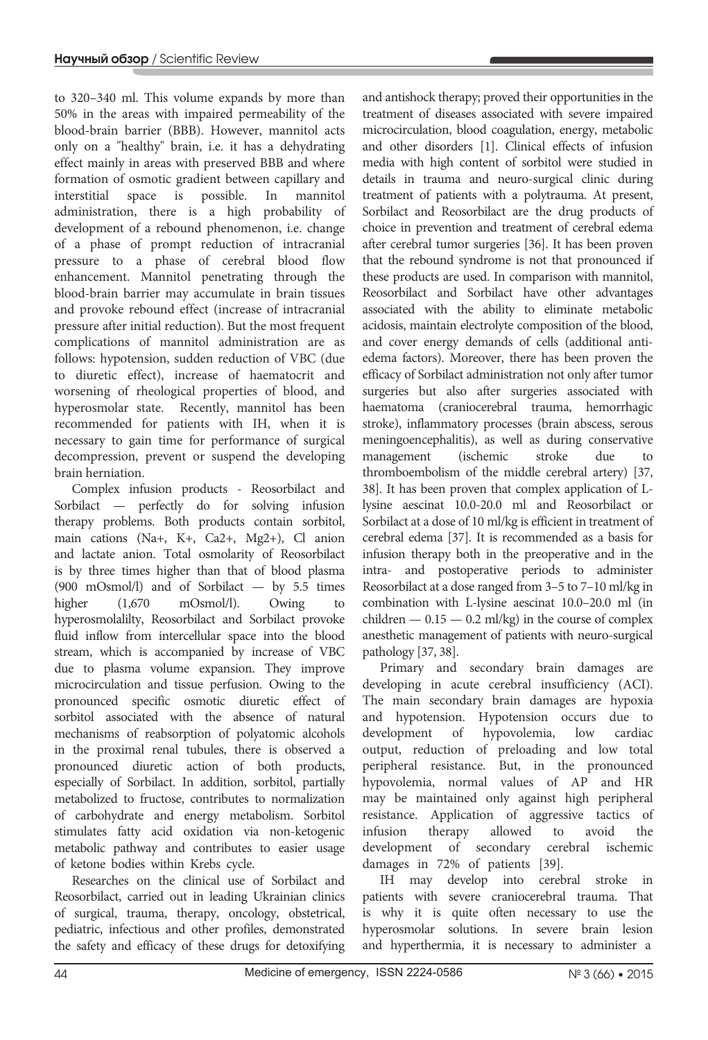to 320–340 ml. This volume expands by more than 50% in the areas with impaired permeability of the blood-brain barrier (BBB). However, mannitol acts only on a "healthy" brain, i.e. it has a dehydrating effect mainly in areas with preserved BBB and where formation of osmotic gradient between capillary and interstitial space is possible. In mannitol administration, there is a high probability of development of a rebound phenomenon, i.e. change of a phase of prompt reduction of intracranial pressure to a phase of cerebral blood flow enhancement. Mannitol penetrating through the blood-brain barrier may accumulate in brain tissues and provoke rebound effect (increase of intracranial pressure after initial reduction). But the most frequent complications of mannitol administration are as follows: hypotension, sudden reduction of VBC (due to diuretic effect), increase of haematocrit and worsening of rheological properties of blood, and hyperosmolar state. Recently, mannitol has been recommended for patients with IH, when it is necessary to gain time for performance of surgical decompression, prevent or suspend the developing brain herniation.

Complex infusion products - Reosorbilact and Sorbilact — perfectly do for solving infusion therapy problems. Both products contain sorbitol, main cations (Na+, K+, Ca2+, Mg2+), Cl anion and lactate anion. Total osmolarity of Reosorbilact is by three times higher than that of blood plasma (900 mOsmol/l) and of Sorbilact — by 5.5 times higher (1,670 mOsmol/l). Owing to hyperosmolalilty, Reosorbilact and Sorbilact provoke fluid inflow from intercellular space into the blood stream, which is accompanied by increase of VBC due to plasma volume expansion. They improve microcirculation and tissue perfusion. Owing to the pronounced specific osmotic diuretic effect of sorbitol associated with the absence of natural mechanisms of reabsorption of polyatomic alcohols in the proximal renal tubules, there is observed a pronounced diuretic action of both products, especially of Sorbilact. In addition, sorbitol, partially metabolized to fructose, contributes to normalization of carbohydrate and energy metabolism. Sorbitol stimulates fatty acid oxidation via non-ketogenic metabolic pathway and contributes to easier usage of ketone bodies within Krebs cycle.

Researches on the clinical use of Sorbilact and Reosorbilact, carried out in leading Ukrainian clinics of surgical, trauma, therapy, oncology, obstetrical, pediatric, infectious and other profiles, demonstrated the safety and efficacy of these drugs for detoxifying and antishock therapy; proved their opportunities in the treatment of diseases associated with severe impaired microcirculation, blood coagulation, energy, metabolic and other disorders [1]. Clinical effects of infusion media with high content of sorbitol were studied in details in trauma and neuro-surgical clinic during treatment of patients with a polytrauma. At present, Sorbilact and Reosorbilact are the drug products of choice in prevention and treatment of cerebral edema after cerebral tumor surgeries [36]. It has been proven that the rebound syndrome is not that pronounced if these products are used. In comparison with mannitol, Reosorbilact and Sorbilact have other advantages associated with the ability to eliminate metabolic acidosis, maintain electrolyte composition of the blood, and cover energy demands of cells (additional antiedema factors). Moreover, there has been proven the efficacy of Sorbilact administration not only after tumor surgeries but also after surgeries associated with haematoma (craniocerebral trauma, hemorrhagic stroke), inflammatory processes (brain abscess, serous meningoencephalitis), as well as during conservative management (ischemic stroke due to thromboembolism of the middle cerebral artery) [37, 38]. It has been proven that complex application of Llysine aescinat 10.0-20.0 ml and Reosorbilact or Sorbilact at a dose of 10 ml/kg is efficient in treatment of cerebral edema [37]. It is recommended as a basis for infusion therapy both in the preoperative and in the intra- and postoperative periods to administer Reosorbilact at a dose ranged from 3–5 to 7–10 ml/kg in combination with L-lysine aescinat 10.0–20.0 ml (in children  $-0.15-0.2$  ml/kg) in the course of complex anesthetic management of patients with neuro-surgical pathology [37, 38].

Primary and secondary brain damages are developing in acute cerebral insufficiency (ACI). The main secondary brain damages are hypoxia and hypotension. Hypotension occurs due to development of hypovolemia, low cardiac output, reduction of preloading and low total peripheral resistance. But, in the pronounced hypovolemia, normal values of AP and HR may be maintained only against high peripheral resistance. Application of aggressive tactics of infusion therapy allowed to avoid the development of secondary cerebral ischemic damages in 72% of patients [39].

IH may develop into cerebral stroke in patients with severe craniocerebral trauma. That is why it is quite often necessary to use the hyperosmolar solutions. In severe brain lesion and hyperthermia, it is necessary to administer a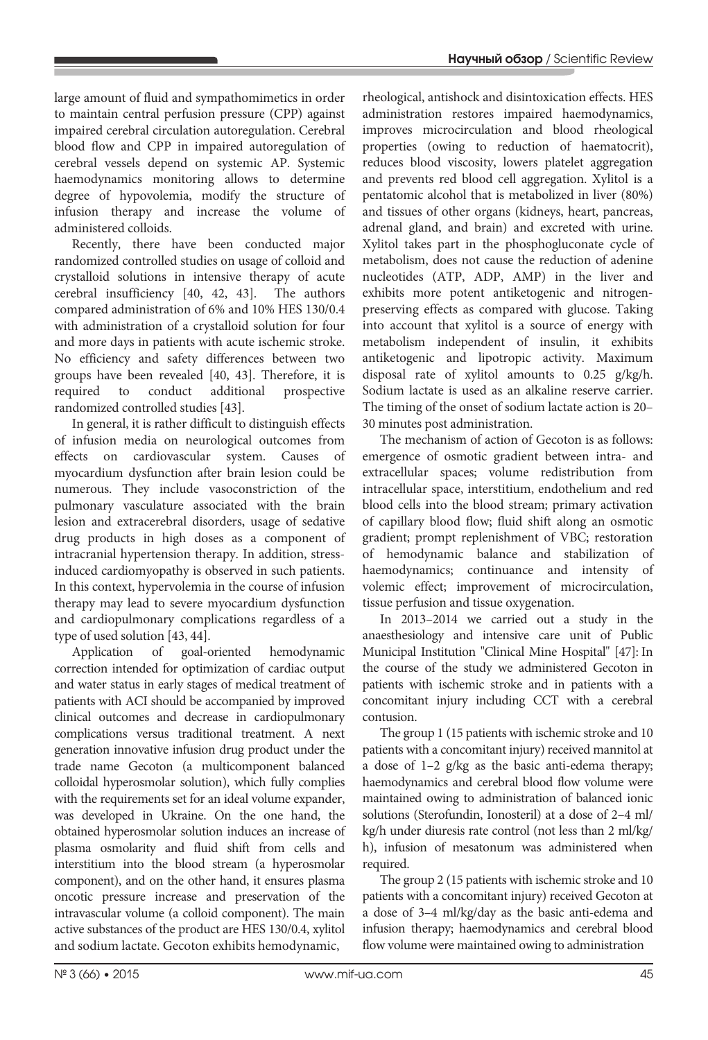large amount of fluid and sympathomimetics in order to maintain central perfusion pressure (CPP) against impaired cerebral circulation autoregulation. Cerebral blood flow and CPP in impaired autoregulation of cerebral vessels depend on systemic AP. Systemic haemodynamics monitoring allows to determine degree of hypovolemia, modify the structure of infusion therapy and increase the volume of administered colloids.

Recently, there have been conducted major randomized controlled studies on usage of colloid and crystalloid solutions in intensive therapy of acute cerebral insufficiency [40, 42, 43]. The authors compared administration of 6% and 10% HES 130/0.4 with administration of a crystalloid solution for four and more days in patients with acute ischemic stroke. No efficiency and safety differences between two groups have been revealed [40, 43]. Therefore, it is required to conduct additional prospective randomized controlled studies [43].

In general, it is rather difficult to distinguish effects of infusion media on neurological outcomes from effects on cardiovascular system. Causes of myocardium dysfunction after brain lesion could be numerous. They include vasoconstriction of the pulmonary vasculature associated with the brain lesion and extracerebral disorders, usage of sedative drug products in high doses as a component of intracranial hypertension therapy. In addition, stressinduced cardiomyopathy is observed in such patients. In this context, hypervolemia in the course of infusion therapy may lead to severe myocardium dysfunction and cardiopulmonary complications regardless of a type of used solution [43, 44].

Application of goal-oriented hemodynamic correction intended for optimization of cardiac output and water status in early stages of medical treatment of patients with ACI should be accompanied by improved clinical outcomes and decrease in cardiopulmonary complications versus traditional treatment. A next generation innovative infusion drug product under the trade name Gecoton (a multicomponent balanced colloidal hyperosmolar solution), which fully complies with the requirements set for an ideal volume expander, was developed in Ukraine. On the one hand, the obtained hyperosmolar solution induces an increase of plasma osmolarity and fluid shift from cells and interstitium into the blood stream (a hyperosmolar component), and on the other hand, it ensures plasma oncotic pressure increase and preservation of the intravascular volume (a colloid component). The main active substances of the product are HES 130/0.4, xylitol and sodium lactate. Gecoton exhibits hemodynamic,

rheological, antishock and disintoxication effects. HES administration restores impaired haemodynamics, improves microcirculation and blood rheological properties (owing to reduction of haematocrit), reduces blood viscosity, lowers platelet aggregation and prevents red blood cell aggregation. Xylitol is a pentatomic alcohol that is metabolized in liver (80%) and tissues of other organs (kidneys, heart, pancreas, adrenal gland, and brain) and excreted with urine. Xylitol takes part in the phosphogluconate cycle of metabolism, does not cause the reduction of adenine nucleotides (ATP, ADP, AMP) in the liver and exhibits more potent antiketogenic and nitrogenpreserving effects as compared with glucose. Taking into account that xylitol is a source of energy with metabolism independent of insulin, it exhibits antiketogenic and lipotropic activity. Maximum disposal rate of xylitol amounts to 0.25 g/kg/h. Sodium lactate is used as an alkaline reserve carrier. The timing of the onset of sodium lactate action is 20– 30 minutes post administration.

The mechanism of action of Gecoton is as follows: emergence of osmotic gradient between intra- and extracellular spaces; volume redistribution from intracellular space, interstitium, endothelium and red blood cells into the blood stream; primary activation of capillary blood flow; fluid shift along an osmotic gradient; prompt replenishment of VBC; restoration of hemodynamic balance and stabilization of haemodynamics; continuance and intensity of volemic effect; improvement of microcirculation, tissue perfusion and tissue oxygenation.

In 2013–2014 we carried out a study in the anaesthesiology and intensive care unit of Public Municipal Institution "Clinical Mine Hospital" [47]: In the course of the study we administered Gecoton in patients with ischemic stroke and in patients with a concomitant injury including CCT with a cerebral contusion.

The group 1 (15 patients with ischemic stroke and 10 patients with a concomitant injury) received mannitol at a dose of 1–2 g/kg as the basic anti-edema therapy; haemodynamics and cerebral blood flow volume were maintained owing to administration of balanced ionic solutions (Sterofundin, Ionosteril) at a dose of 2–4 ml/ kg/h under diuresis rate control (not less than 2 ml/kg/ h), infusion of mesatonum was administered when required.

The group 2 (15 patients with ischemic stroke and 10 patients with a concomitant injury) received Gecoton at a dose of 3–4 ml/kg/day as the basic anti-edema and infusion therapy; haemodynamics and cerebral blood flow volume were maintained owing to administration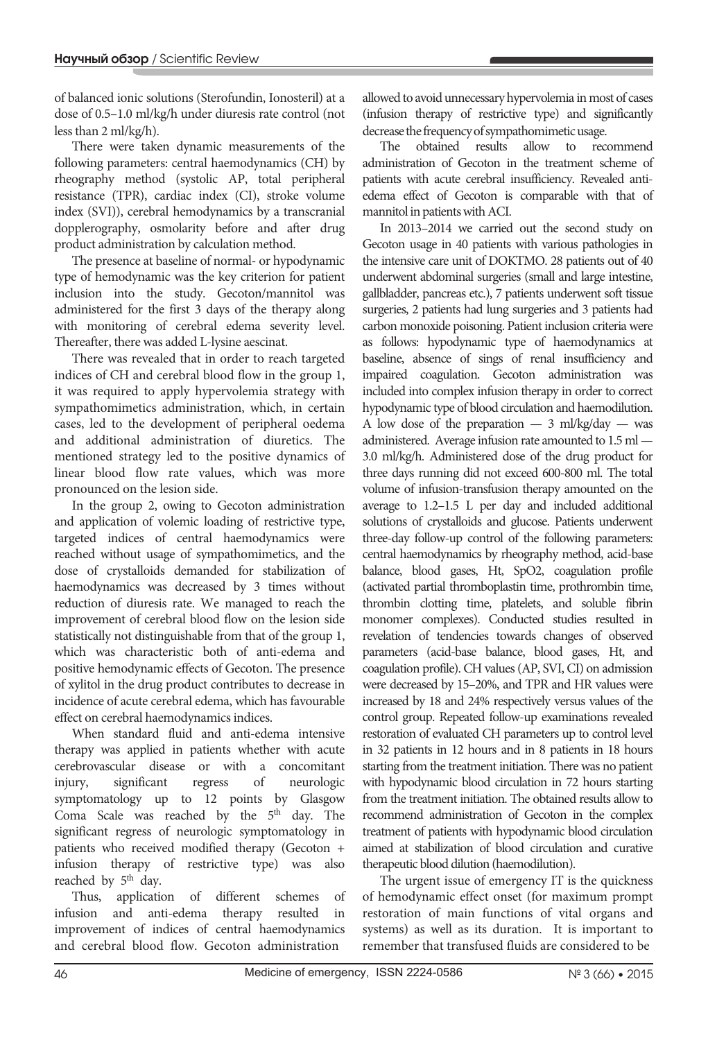of balanced ionic solutions (Sterofundin, Ionosteril) at a dose of 0.5–1.0 ml/kg/h under diuresis rate control (not less than 2 ml/kg/h).

There were taken dynamic measurements of the following parameters: central haemodynamics (CH) by rheography method (systolic AP, total peripheral resistance (TPR), cardiac index (CI), stroke volume index (SVI)), cerebral hemodynamics by a transcranial dopplerography, osmolarity before and after drug product administration by calculation method.

The presence at baseline of normal- or hypodynamic type of hemodynamic was the key criterion for patient inclusion into the study. Gecoton/mannitol was administered for the first 3 days of the therapy along with monitoring of cerebral edema severity level. Thereafter, there was added L-lysine aescinat.

There was revealed that in order to reach targeted indices of CH and cerebral blood flow in the group 1, it was required to apply hypervolemia strategy with sympathomimetics administration, which, in certain cases, led to the development of peripheral oedema and additional administration of diuretics. The mentioned strategy led to the positive dynamics of linear blood flow rate values, which was more pronounced on the lesion side.

In the group 2, owing to Gecoton administration and application of volemic loading of restrictive type, targeted indices of central haemodynamics were reached without usage of sympathomimetics, and the dose of crystalloids demanded for stabilization of haemodynamics was decreased by 3 times without reduction of diuresis rate. We managed to reach the improvement of cerebral blood flow on the lesion side statistically not distinguishable from that of the group 1, which was characteristic both of anti-edema and positive hemodynamic effects of Gecoton. The presence of xylitol in the drug product contributes to decrease in incidence of acute cerebral edema, which has favourable effect on cerebral haemodynamics indices.

When standard fluid and anti-edema intensive therapy was applied in patients whether with acute cerebrovascular disease or with a concomitant injury, significant regress of neurologic symptomatology up to 12 points by Glasgow Coma Scale was reached by the 5<sup>th</sup> day. The significant regress of neurologic symptomatology in patients who received modified therapy (Gecoton + infusion therapy of restrictive type) was also reached by 5<sup>th</sup> day.

Thus, application of different schemes of infusion and anti-edema therapy resulted in improvement of indices of central haemodynamics and cerebral blood flow. Gecoton administration

allowed to avoid unnecessary hypervolemia in most of cases (infusion therapy of restrictive type) and significantly decrease the frequency of sympathomimetic usage.

The obtained results allow to recommend administration of Gecoton in the treatment scheme of patients with acute cerebral insufficiency. Revealed antiedema effect of Gecoton is comparable with that of mannitol in patients with ACI.

In 2013–2014 we carried out the second study on Gecoton usage in 40 patients with various pathologies in the intensive care unit of DOKTMO. 28 patients out of 40 underwent abdominal surgeries (small and large intestine, gallbladder, pancreas etc.), 7 patients underwent soft tissue surgeries, 2 patients had lung surgeries and 3 patients had carbon monoxide poisoning. Patient inclusion criteria were as follows: hypodynamic type of haemodynamics at baseline, absence of sings of renal insufficiency and impaired coagulation. Gecoton administration was included into complex infusion therapy in order to correct hypodynamic type of blood circulation and haemodilution. A low dose of the preparation  $-3$  ml/kg/day  $-$  was administered. Average infusion rate amounted to 1.5 ml — 3.0 ml/kg/h. Administered dose of the drug product for three days running did not exceed 600-800 ml. The total volume of infusion-transfusion therapy amounted on the average to 1.2–1.5 L per day and included additional solutions of crystalloids and glucose. Patients underwent three-day follow-up control of the following parameters: central haemodynamics by rheography method, acid-base balance, blood gases, Ht, SpO2, coagulation profile (activated partial thromboplastin time, prothrombin time, thrombin clotting time, platelets, and soluble fibrin monomer complexes). Conducted studies resulted in revelation of tendencies towards changes of observed parameters (acid-base balance, blood gases, Ht, and coagulation profile). CH values (AP, SVI, CI) on admission were decreased by 15–20%, and TPR and HR values were increased by 18 and 24% respectively versus values of the control group. Repeated follow-up examinations revealed restoration of evaluated CH parameters up to control level in 32 patients in 12 hours and in 8 patients in 18 hours starting from the treatment initiation. There was no patient with hypodynamic blood circulation in 72 hours starting from the treatment initiation. The obtained results allow to recommend administration of Gecoton in the complex treatment of patients with hypodynamic blood circulation aimed at stabilization of blood circulation and curative therapeutic blood dilution (haemodilution).

The urgent issue of emergency IT is the quickness of hemodynamic effect onset (for maximum prompt restoration of main functions of vital organs and systems) as well as its duration. It is important to remember that transfused fluids are considered to be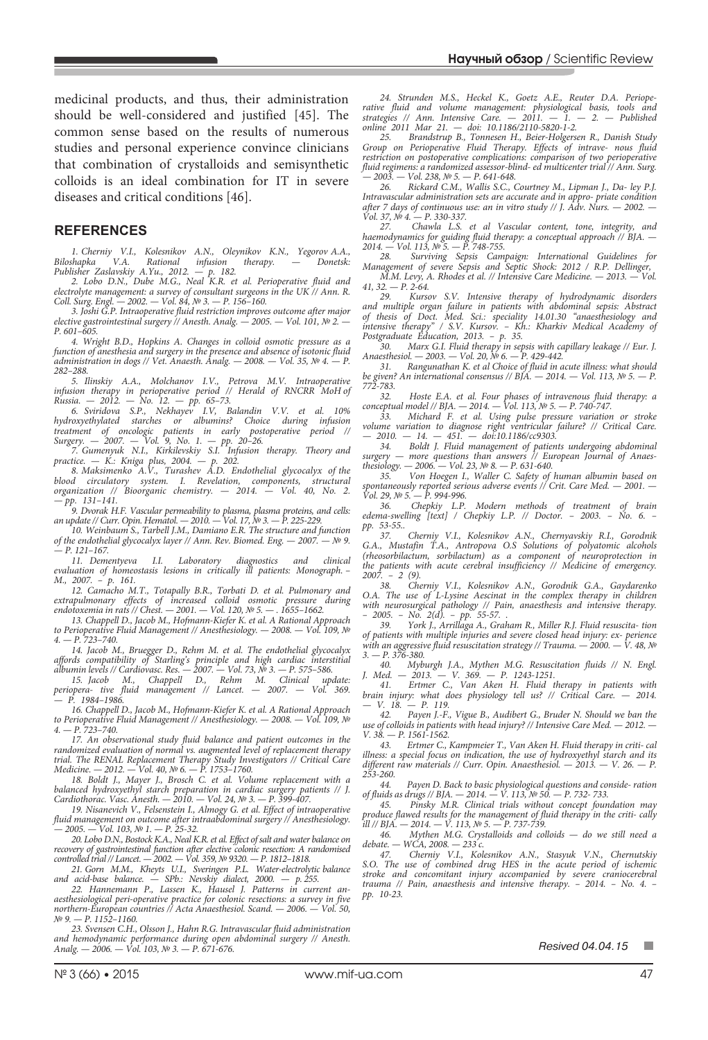medicinal products, and thus, their administration should be well-considered and justified [45]. The common sense based on the results of numerous studies and personal experience convince clinicians that combination of crystalloids and semisynthetic colloids is an ideal combination for IT in severe diseases and critical conditions [46].

## **REFERENCES**

*1. Cherniy V.I., Kolesnikov A.N., Oleynikov K.N., Yegorov A.A., Biloshapka V.A. Rational infusion therapy. — Donetsk: Publisher Zaslavskiy A.Yu., 2012. — p. 182.*

*2. Lobo D.N., Dube M.G., Neal K.R. et al. Perioperative fluid and electrolyte management: a survey of consultant surgeons in the UK // Ann. R. Coll. Surg. Engl. — 2002. — Vol. 84, № 3. — P. 156–160.*

*3. Joshi G.P. Intraoperative fluid restriction improves outcome after major elective gastrointestinal surgery // Anesth. Analg. — 2005. — Vol. 101, № 2. — P. 601–605.*

*4. Wright B.D., Hopkins A. Changes in colloid osmotic pressure as a function of anesthesia and surgery in the presence and absence of isotonic fluid administration in dogs // Vet. Anaesth. Analg. — 2008. — Vol. 35, № 4. — P. 282–288.*

*5. Ilinskiy A.A., Molchanov I.V., Petrova M.V. Intraoperative infusion therapy in perioperative period // Herald of RNCRR MoH of Russia. — 2012. — No. 12. — pp. 65–73.*

6. Sviridova S.P., Nekhayev I.V, Balandin V.V. et al. 10%<br>hydroxyethylated starches or albumins? Choice during infusion *treatment of oncologic patients in early postoperative period // Surgery. — 2007. — Vol. 9, No. 1. — pp. 20–26.*

*7. Gumenyuk N.I., Kirkilevskiy S.I. Infusion therapy. Theory and practice. — K.: Kniga plus, 2004. — p. 202.*

*8. Maksimenko A.V., Turashev A.D. Endothelial glycocalyx of the blood circulatory system. I. Revelation, components, structural organization // Bioorganic chemistry. — 2014. — Vol. 40, No. 2. — pp. 131–141.*

*9. Dvorak H.F. Vascular permeability to plasma, plasma proteins, and cells: an update // Curr. Opin. Hematol. — 2010. — Vol. 17, № 3. — P. 225-229.*

*10. Weinbaum S., Tarbell J.M., Damiano E.R. The structure and function of the endothelial glycocalyx layer // Ann. Rev. Biomed. Eng. — 2007. — № 9. — P. 121–167.*

*11. Dementyeva I.I. Laboratory diagnostics and clinical evaluation of homeostasis lesions in critically ill patients: Monograph. – M., 2007. – p. 161.*

*12. Camacho M.T., Totapally B.R., Torbati D. et al. Pulmonary and extrapulmonary effects of increased colloid osmotic pressure during endotoxemia in rats // Chest. — 2001. — Vol. 120, № 5. — . 1655–1662.*

*13. Chappell D., Jacob М., Hofmann-Kiefer К. et al. A Rational Approach to Perioperative Fluid Management // Anesthesiology. — 2008. — Vol. 109, № 4. — P. 723–740.*

*14. Jacob M., Bruegger D., Rehm M. et al. The endothelial glycocalyx affords compatibility of Starling's principle and high cardiac interstitial albumin levels // Cardiovasc. Res. — 2007. — Vol. 73, № 3. — Р. 575–586.*

15. Jacob M., Chappell D., Rehm M. Clinical update:<br>periopera- tive fluid management // Lancet. – 2007. – Vol. 369. *— P. 1984–1986.*

*16. Chappell D., Jacob М., Hofmann-Kiefer К. et al. A Rational Approach to Perioperative Fluid Management // Anesthesiology. — 2008. — Vol. 109, № 4. — P. 723–740.*

*17. An observational study fluid balance and patient outcomes in the randomized evaluation of normal vs. augmented level of replacement therapy trial. The RENAL Replacement Therapy Study Investigators // Critical Care Medicine. — 2012. — Vol. 40, № 6. — P. 1753–1760.*

*18. Boldt J., Mayer J., Brosch C. et al. Volume replacement with a balanced hydroxyethyl starch preparation in cardiac surgery patients // J. Cardiothorac. Vasc. Anesth. — 2010. — Vol. 24, № 3. — P. 399-407.*

*19. Nisanevich V., Felsenstein I., Almogy G. et al. Effect of intraoperative fluid management on outcome after intraabdominal surgery // Anesthesiology. — 2005. — Vol. 103, № 1. — Р. 25-32.*

*20. Lobo D.N., Bostock K.A., Neal K.R. et al. Effect of salt and water balance on recovery of gastrointestinal function after elective colonic resection: A randomised controlled trial // Lancet. — 2002. — Vol. 359, № 9320. — P. 1812–1818.*

*21. Gorn M.M., Kheyts U.I., Sveringen P.L. Water-electrolytic balance and acid-base balance. — SPb.: Nevskiy dialect, 2000. — p. 255.*

22. Hannemann P., Lassen K., Hausel J. Patterns in current an-<br>aesthesiological peri-operative practice for colonic resections: a survey in five *northern-European countries // Acta Anaesthesiol. Scand. — 2006. — Vol. 50, № 9. — P. 1152–1160.*

*23. Svensen C.H., Olsson J., Hahn R.G. Intravascular fluid administration and hemodynamic performance during open abdominal surgery // Anesth. Analg. — 2006. — Vol. 103, № 3. — P. 671-676.*

*24. Strunden M.S., Heckel K., Goetz A.E., Reuter D.A. Perioperative fluid and volume management: physiological basis, tools and strategies // Ann. Intensive Care. — 2011. — 1. — 2. — Published online 2011 Mar 21. — doi: 10.1186/2110-5820-1-2.*

*25. Brandstrup B., Tonnesen H., Beier-Holgersen R., Danish Study Group on Perioperative Fluid Therapy. Effects of intrave- nous fluid restriction on postoperative complications: comparison of two perioperative fluid regimens: a randomized assessor-blind- ed multicenter trial // Ann. Surg. — 2003. — Vol. 238, № 5. — P. 641-648.*

*26. Rickard C.M., Wallis S.C., Courtney M., Lipman J., Da- ley P.J. Intravascular administration sets are accurate and in appro- priate condition after 7 days of continuous use: an in vitro study // J. Adv. Nurs. - 2002. -Vol. 37, № 4. — P. 330-337.*

*27. Chawla L.S. et al Vascular content, tone, integrity, and haemodynamics for guiding fluid therapy: a conceptual approach // BJA. — 2014. — Vol. 113, № 5. — P. 748-755.*

*28. Surviving Sepsis Campaign: International Guidelines for Management of severe Sepsis and Septic Shock: 2012 / R.P. Dellinger, M.M. Levy, A. Rhodes et al. // Intensive Сare Medicine. — 2013. — Vol.* 

*41, 32. — Р. 2-64. 29. Kursov S.V. Intensive therapy of hydrodynamic disorders* 

*and multiple organ failure in patients with abdominal sepsis: Abstract of thesis of Doct. Med. Sci.: speciality 14.01.30 "anaesthesiology and intensive therapy" / S.V. Kursov. – Kh.: Kharkiv Medical Academy of Postgraduate Education, 2013. – p. 35.*

*30. Marx G.І. Fluid therapy in sepsis with capillary leakage // Eur. J. Anaesthesiol. — 2003. — Vol. 20, № 6. — P. 429-442.*

*31. Rangunathan K. et al Choice of fluid in acute illness: what should be given? An international consensus // BJA.* — 2014. — Vol. 113, № 5. — P. *772-783.*

*32. Hoste E.A. et al. Four phases of intravenous fluid therapy: a conceptual model // BJA. — 2014. — Vol. 113, № 5. — P. 740-747.*

*33. Michard F. et al. Using pulse pressure variation or stroke volume variation to diagnose right ventricular failure? // Critical Care. — 2010. — 14. — 451. — doi:10.1186/cc9303.*

*34. Boldt J. Fluid management of patients undergoing abdominal surgery — more questions than answers // European Journal of Anaesthesiology. — 2006. — Vol. 23, № 8. — P. 631-640.*

*35. Von Hoegen I., Waller C. Safety of human albumin based on spontaneously reported serious adverse events // Crit. Care Med. — 2001. — Vol. 29, № 5. — P. 994-996.*

*36. Chepkiy L.P. Modern methods of treatment of brain edema-swelling [text] / Chepkiy L.P. // Doctor. – 2003. – No. 6. – pp. 53-55..*

*37. Cherniy V.I., Kolesnikov A.N., Chernyavskiy R.I., Gorodnik G.A., Mustafin T.A., Antropova O.S Solutions of polyatomic alcohols (rheosorbilactum, sorbilactum) as a component of neuroprotection in the patients with acute cerebral insufficiency // Medicine of emergency. 2007. – 2 (9).*

*38. Cherniy V.I., Kolesnikov A.N., Gorodnik G.A., Gaydarenko O.A. The use of L-Lysine Aescinat in the complex therapy in children with neurosurgical pathology // Pain, anaesthesis and intensive therapy. – 2005. – No. 2(d). – pp. 55-57. .*

*39. York J., Arrillaga A., Graham R., Miller R.J. Fluid resuscita- tion of patients with multiple injuries and severe closed head injury: ex- perience with an aggressive fluid resuscitation strategy // Trauma. — 2000. — V. 48, № 3. — Р. 376-380.*

*40. Myburgh J.A., Mythen M.G. Resuscitation fluids // N. Engl. J. Med. — 2013. — V. 369. — P. 1243-1251.*

*41. Ertmer C., Van Aken H. Fluid therapy in patients with brain injury: what does physiology tell us? // Critical Care. — 2014. — V. 18. — P. 119.*

*42. Payen J.-F., Vigue В., Audibert G., Bruder N. Should we ban the use of colloids in patients with head injury? // Intensive Care Med. — 2012. — V. 38. — P. 1561-1562.*

*43. Ertmer C., Kampmeier T., Van Aken H. Fluid therapy in criti- cal illness: a special focus on indication, the use of hydroxyethyl starch and its different raw materials // Curr. Opin. Anaesthesiol. — 2013. — V. 26. — Р. 253-260.*

*44. Payen D. Back to basic physiological questions and conside- ration of fluids as drugs // BJA. — 2014. — V. 113, № 50. — Р. 732- 733.*

*45. Pinsky M.R. Clinical trials without concept foundation may produce flawed results for the management of fluid therapy in the criti- cally ill // BJA. — 2014. — V. 113, № 5. — Р. 737-739.*

*46. Mythen M.G. Crystalloids and colloids — do we still need a debate. — WCA, 2008. — 233 с.*

*47. Cherniy V.I., Kolesnikov A.N., Stasyuk V.N., Chernutskiy S.O. The use of combined drug HES in the acute period of ischemic stroke and concomitant injury accompanied by severe craniocerebral trauma // Pain, anaesthesis and intensive therapy. – 2014. – No. 4. – pp. 10-23.*